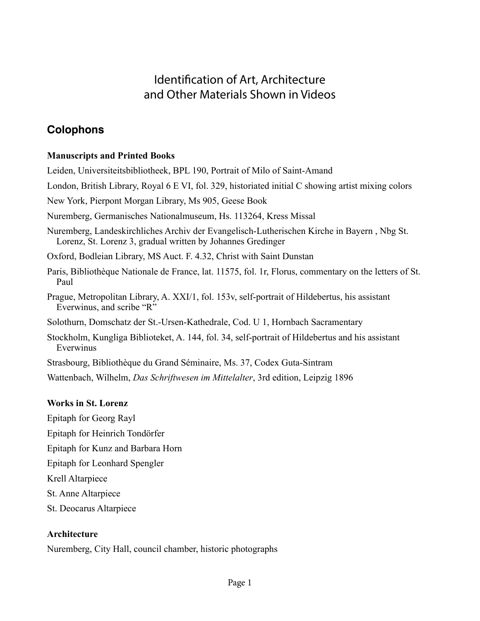# Identification of Art, Architecture and Other Materials Shown in Videos

# **Colophons**

## **Manuscripts and Printed Books**

Leiden, Universiteitsbibliotheek, BPL 190, Portrait of Milo of Saint-Amand

London, British Library, Royal 6 E VI, fol. 329, historiated initial C showing artist mixing colors

New York, Pierpont Morgan Library, Ms 905, Geese Book

Nuremberg, Germanisches Nationalmuseum, Hs. 113264, Kress Missal

Nuremberg, Landeskirchliches Archiv der Evangelisch-Lutherischen Kirche in Bayern , Nbg St. Lorenz, St. Lorenz 3, gradual written by Johannes Gredinger

Oxford, Bodleian Library, MS Auct. F. 4.32, Christ with Saint Dunstan

Paris, Bibliothèque Nationale de France, lat. 11575, fol. 1r, Florus, commentary on the letters of St. Paul

Prague, Metropolitan Library, A. XXI/1, fol. 153v, self-portrait of Hildebertus, his assistant Everwinus, and scribe "R"

Solothurn, Domschatz der St.-Ursen-Kathedrale, Cod. U 1, Hornbach Sacramentary

Stockholm, Kungliga Biblioteket, A. 144, fol. 34, self-portrait of Hildebertus and his assistant Everwinus

Strasbourg, Bibliothèque du Grand Séminaire, Ms. 37, Codex Guta-Sintram

Wattenbach, Wilhelm, *Das Schriftwesen im Mittelalter*, 3rd edition, Leipzig 1896

## **Works in St. Lorenz**

Epitaph for Georg Rayl

Epitaph for Heinrich Tondörfer

Epitaph for Kunz and Barbara Horn

Epitaph for Leonhard Spengler

Krell Altarpiece

St. Anne Altarpiece

St. Deocarus Altarpiece

## **Architecture**

Nuremberg, City Hall, council chamber, historic photographs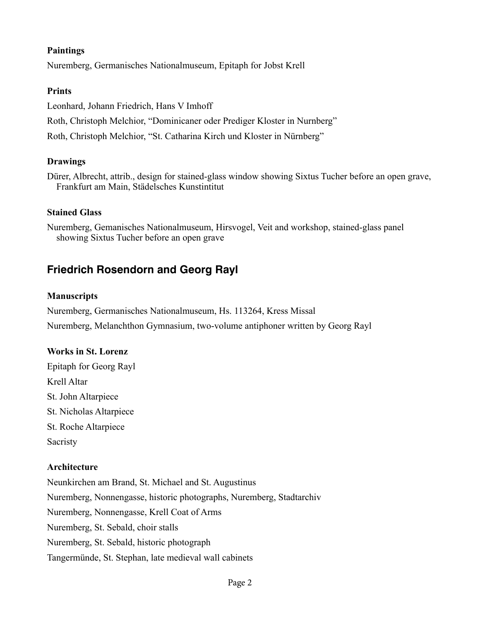#### **Paintings**

Nuremberg, Germanisches Nationalmuseum, Epitaph for Jobst Krell

### **Prints**

Leonhard, Johann Friedrich, Hans V Imhoff Roth, Christoph Melchior, "Dominicaner oder Prediger Kloster in Nurnberg" Roth, Christoph Melchior, "St. Catharina Kirch und Kloster in Nürnberg"

### **Drawings**

Dürer, Albrecht, attrib., design for stained-glass window showing Sixtus Tucher before an open grave, Frankfurt am Main, Städelsches Kunstintitut

### **Stained Glass**

Nuremberg, Gemanisches Nationalmuseum, Hirsvogel, Veit and workshop, stained-glass panel showing Sixtus Tucher before an open grave

## **Friedrich Rosendorn and Georg Rayl**

#### **Manuscripts**

Nuremberg, Germanisches Nationalmuseum, Hs. 113264, Kress Missal Nuremberg, Melanchthon Gymnasium, two-volume antiphoner written by Georg Rayl

### **Works in St. Lorenz**

Epitaph for Georg Rayl Krell Altar St. John Altarpiece St. Nicholas Altarpiece St. Roche Altarpiece Sacristy

#### **Architecture**

Neunkirchen am Brand, St. Michael and St. Augustinus Nuremberg, Nonnengasse, historic photographs, Nuremberg, Stadtarchiv Nuremberg, Nonnengasse, Krell Coat of Arms Nuremberg, St. Sebald, choir stalls Nuremberg, St. Sebald, historic photograph Tangermünde, St. Stephan, late medieval wall cabinets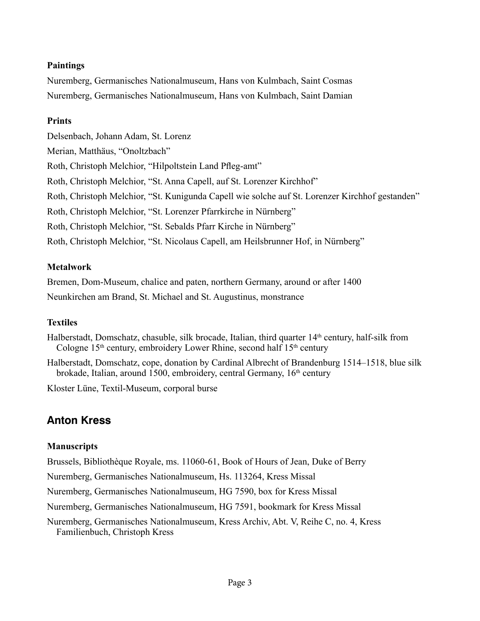### **Paintings**

Nuremberg, Germanisches Nationalmuseum, Hans von Kulmbach, Saint Cosmas Nuremberg, Germanisches Nationalmuseum, Hans von Kulmbach, Saint Damian

### **Prints**

Delsenbach, Johann Adam, St. Lorenz Merian, Matthäus, "Onoltzbach" Roth, Christoph Melchior, "Hilpoltstein Land Pfleg-amt" Roth, Christoph Melchior, "St. Anna Capell, auf St. Lorenzer Kirchhof" Roth, Christoph Melchior, "St. Kunigunda Capell wie solche auf St. Lorenzer Kirchhof gestanden" Roth, Christoph Melchior, "St. Lorenzer Pfarrkirche in Nürnberg" Roth, Christoph Melchior, "St. Sebalds Pfarr Kirche in Nürnberg" Roth, Christoph Melchior, "St. Nicolaus Capell, am Heilsbrunner Hof, in Nürnberg"

## **Metalwork**

Bremen, Dom-Museum, chalice and paten, northern Germany, around or after 1400 Neunkirchen am Brand, St. Michael and St. Augustinus, monstrance

## **Textiles**

Halberstadt, Domschatz, chasuble, silk brocade, Italian, third quarter 14<sup>th</sup> century, half-silk from Cologne  $15<sup>th</sup>$  century, embroidery Lower Rhine, second half  $15<sup>th</sup>$  century

Halberstadt, Domschatz, cope, donation by Cardinal Albrecht of Brandenburg 1514–1518, blue silk brokade, Italian, around 1500, embroidery, central Germany, 16<sup>th</sup> century

Kloster Lüne, Textil-Museum, corporal burse

# **Anton Kress**

## **Manuscripts**

Brussels, Bibliothèque Royale, ms. 11060-61, Book of Hours of Jean, Duke of Berry

Nuremberg, Germanisches Nationalmuseum, Hs. 113264, Kress Missal

Nuremberg, Germanisches Nationalmuseum, HG 7590, box for Kress Missal

Nuremberg, Germanisches Nationalmuseum, HG 7591, bookmark for Kress Missal

Nuremberg, Germanisches Nationalmuseum, Kress Archiv, Abt. V, Reihe C, no. 4, Kress Familienbuch, Christoph Kress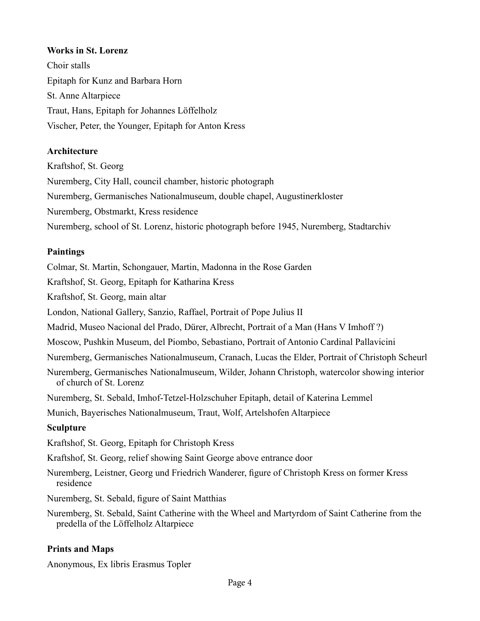### **Works in St. Lorenz**

Choir stalls Epitaph for Kunz and Barbara Horn St. Anne Altarpiece Traut, Hans, Epitaph for Johannes Löffelholz Vischer, Peter, the Younger, Epitaph for Anton Kress

#### **Architecture**

Kraftshof, St. Georg

Nuremberg, City Hall, council chamber, historic photograph

Nuremberg, Germanisches Nationalmuseum, double chapel, Augustinerkloster

Nuremberg, Obstmarkt, Kress residence

Nuremberg, school of St. Lorenz, historic photograph before 1945, Nuremberg, Stadtarchiv

#### **Paintings**

Colmar, St. Martin, Schongauer, Martin, Madonna in the Rose Garden

Kraftshof, St. Georg, Epitaph for Katharina Kress

Kraftshof, St. Georg, main altar

London, National Gallery, Sanzio, Raffael, Portrait of Pope Julius II

Madrid, Museo Nacional del Prado, Dürer, Albrecht, Portrait of a Man (Hans V Imhoff ?)

Moscow, Pushkin Museum, del Piombo, Sebastiano, Portrait of Antonio Cardinal Pallavicini

Nuremberg, Germanisches Nationalmuseum, Cranach, Lucas the Elder, Portrait of Christoph Scheurl

Nuremberg, Germanisches Nationalmuseum, Wilder, Johann Christoph, watercolor showing interior of church of St. Lorenz

Nuremberg, St. Sebald, Imhof-Tetzel-Holzschuher Epitaph, detail of Katerina Lemmel

Munich, Bayerisches Nationalmuseum, Traut, Wolf, Artelshofen Altarpiece

#### **Sculpture**

Kraftshof, St. Georg, Epitaph for Christoph Kress

Kraftshof, St. Georg, relief showing Saint George above entrance door

Nuremberg, Leistner, Georg und Friedrich Wanderer, figure of Christoph Kress on former Kress residence

Nuremberg, St. Sebald, figure of Saint Matthias

Nuremberg, St. Sebald, Saint Catherine with the Wheel and Martyrdom of Saint Catherine from the predella of the Löffelholz Altarpiece

#### **Prints and Maps**

Anonymous, Ex libris Erasmus Topler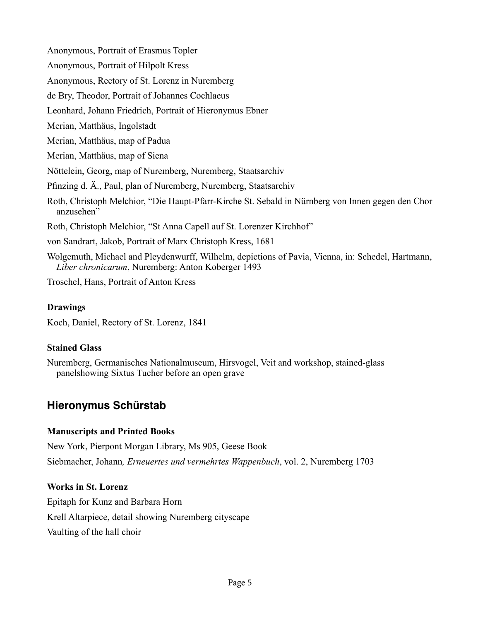Anonymous, Portrait of Erasmus Topler

Anonymous, Portrait of Hilpolt Kress

Anonymous, Rectory of St. Lorenz in Nuremberg

de Bry, Theodor, Portrait of Johannes Cochlaeus

Leonhard, Johann Friedrich, Portrait of Hieronymus Ebner

Merian, Matthäus, Ingolstadt

Merian, Matthäus, map of Padua

Merian, Matthäus, map of Siena

Nöttelein, Georg, map of Nuremberg, Nuremberg, Staatsarchiv

Pfinzing d. Ä., Paul, plan of Nuremberg, Nuremberg, Staatsarchiv

Roth, Christoph Melchior, "Die Haupt-Pfarr-Kirche St. Sebald in Nürnberg von Innen gegen den Chor anzusehen"

Roth, Christoph Melchior, "St Anna Capell auf St. Lorenzer Kirchhof"

von Sandrart, Jakob, Portrait of Marx Christoph Kress, 1681

Wolgemuth, Michael and Pleydenwurff, Wilhelm, depictions of Pavia, Vienna, in: Schedel, Hartmann, *Liber chronicarum*, Nuremberg: Anton Koberger 1493

Troschel, Hans, Portrait of Anton Kress

### **Drawings**

Koch, Daniel, Rectory of St. Lorenz, 1841

## **Stained Glass**

Nuremberg, Germanisches Nationalmuseum, Hirsvogel, Veit and workshop, stained-glass panelshowing Sixtus Tucher before an open grave

## **Hieronymus Schürstab**

## **Manuscripts and Printed Books**

New York, Pierpont Morgan Library, Ms 905, Geese Book Siebmacher, Johann*, Erneuertes und vermehrtes Wappenbuch*, vol. 2, Nuremberg 1703

## **Works in St. Lorenz**

Epitaph for Kunz and Barbara Horn Krell Altarpiece, detail showing Nuremberg cityscape Vaulting of the hall choir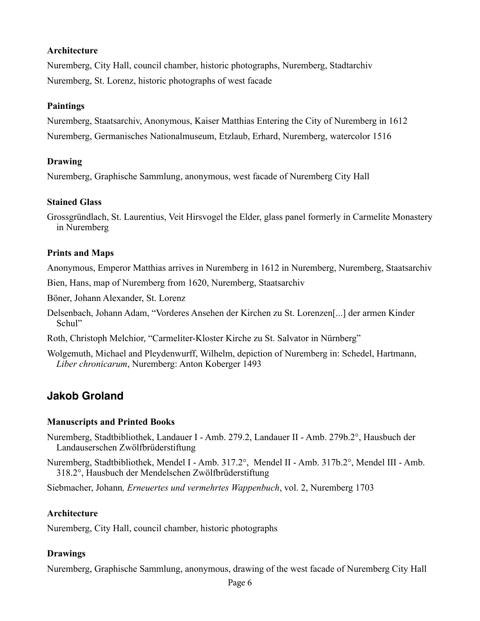#### **Architecture**

Nuremberg, City Hall, council chamber, historic photographs, Nuremberg, Stadtarchiv Nuremberg, St. Lorenz, historic photographs of west facade

#### **Paintings**

Nuremberg, Staatsarchiv, Anonymous, Kaiser Matthias Entering the City of Nuremberg in 1612 Nuremberg, Germanisches Nationalmuseum, Etzlaub, Erhard, Nuremberg, watercolor 1516

### **Drawing**

Nuremberg, Graphische Sammlung, anonymous, west facade of Nuremberg City Hall

#### **Stained Glass**

Grossgründlach, St. Laurentius, Veit Hirsvogel the Elder, glass panel formerly in Carmelite Monastery in Nuremberg

#### **Prints and Maps**

Anonymous, Emperor Matthias arrives in Nuremberg in 1612 in Nuremberg, Nuremberg, Staatsarchiv

Bien, Hans, map of Nuremberg from 1620, Nuremberg, Staatsarchiv

Böner, Johann Alexander, St. Lorenz

Delsenbach, Johann Adam, "Vorderes Ansehen der Kirchen zu St. Lorenzen[...] der armen Kinder Schul"

Roth, Christoph Melchior, "Carmeliter-Kloster Kirche zu St. Salvator in Nürnberg"

Wolgemuth, Michael and Pleydenwurff, Wilhelm, depiction of Nuremberg in: Schedel, Hartmann, *Liber chronicarum*, Nuremberg: Anton Koberger 1493

## **Jakob Groland**

#### **Manuscripts and Printed Books**

Nuremberg, Stadtbibliothek, Landauer I - Amb. 279.2, Landauer II - Amb. 279b.2°, Hausbuch der Landauserschen Zwölfbrüderstiftung

Nuremberg, Stadtbibliothek, Mendel I - Amb. 317.2°, Mendel II - Amb. 317b.2°, Mendel III - Amb. 318.2°, Hausbuch der Mendelschen Zwölfbrüderstiftung

Siebmacher, Johann*, Erneuertes und vermehrtes Wappenbuch*, vol. 2, Nuremberg 1703

#### **Architecture**

Nuremberg, City Hall, council chamber, historic photographs

#### **Drawings**

Nuremberg, Graphische Sammlung, anonymous, drawing of the west facade of Nuremberg City Hall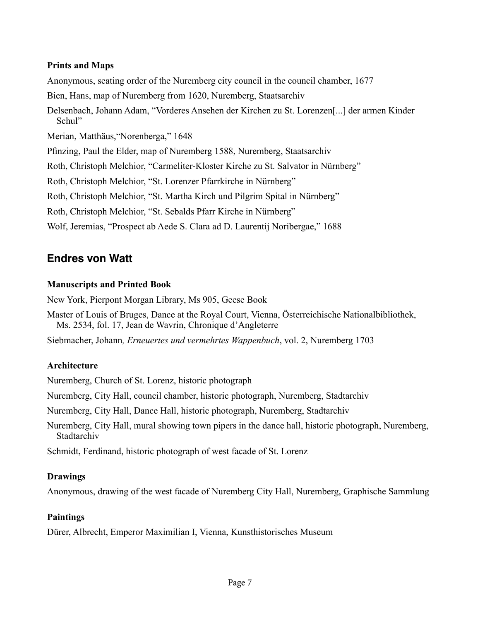#### **Prints and Maps**

Anonymous, seating order of the Nuremberg city council in the council chamber, 1677

Bien, Hans, map of Nuremberg from 1620, Nuremberg, Staatsarchiv

Delsenbach, Johann Adam, "Vorderes Ansehen der Kirchen zu St. Lorenzen[...] der armen Kinder Schul"

Merian, Matthäus,"Norenberga," 1648

Pfinzing, Paul the Elder, map of Nuremberg 1588, Nuremberg, Staatsarchiv

Roth, Christoph Melchior, "Carmeliter-Kloster Kirche zu St. Salvator in Nürnberg"

Roth, Christoph Melchior, "St. Lorenzer Pfarrkirche in Nürnberg"

Roth, Christoph Melchior, "St. Martha Kirch und Pilgrim Spital in Nürnberg"

Roth, Christoph Melchior, "St. Sebalds Pfarr Kirche in Nürnberg"

Wolf, Jeremias, "Prospect ab Aede S. Clara ad D. Laurentij Noribergae," 1688

## **Endres von Watt**

### **Manuscripts and Printed Book**

New York, Pierpont Morgan Library, Ms 905, Geese Book

Master of Louis of Bruges, Dance at the Royal Court, Vienna, Österreichische Nationalbibliothek, Ms. 2534, fol. 17, Jean de Wavrin, Chronique d'Angleterre

Siebmacher, Johann*, Erneuertes und vermehrtes Wappenbuch*, vol. 2, Nuremberg 1703

## **Architecture**

Nuremberg, Church of St. Lorenz, historic photograph

Nuremberg, City Hall, council chamber, historic photograph, Nuremberg, Stadtarchiv

Nuremberg, City Hall, Dance Hall, historic photograph, Nuremberg, Stadtarchiv

Nuremberg, City Hall, mural showing town pipers in the dance hall, historic photograph, Nuremberg, Stadtarchiv

Schmidt, Ferdinand, historic photograph of west facade of St. Lorenz

## **Drawings**

Anonymous, drawing of the west facade of Nuremberg City Hall, Nuremberg, Graphische Sammlung

## **Paintings**

Dürer, Albrecht, Emperor Maximilian I, Vienna, Kunsthistorisches Museum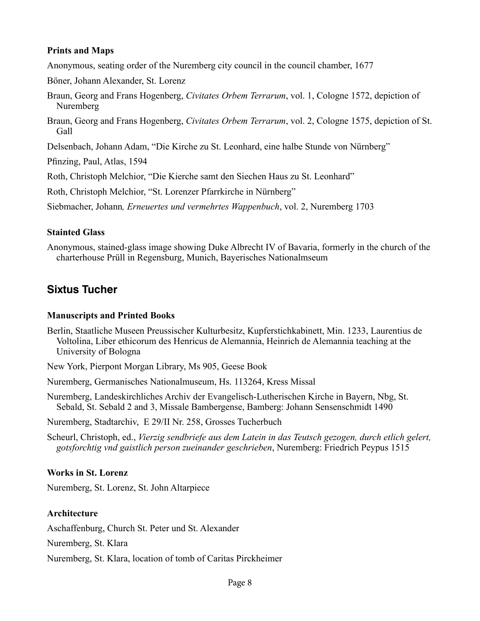#### **Prints and Maps**

Anonymous, seating order of the Nuremberg city council in the council chamber, 1677

Böner, Johann Alexander, St. Lorenz

- Braun, Georg and Frans Hogenberg, *Civitates Orbem Terrarum*, vol. 1, Cologne 1572, depiction of Nuremberg
- Braun, Georg and Frans Hogenberg, *Civitates Orbem Terrarum*, vol. 2, Cologne 1575, depiction of St. Gall

Delsenbach, Johann Adam, "Die Kirche zu St. Leonhard, eine halbe Stunde von Nürnberg"

Pfinzing, Paul, Atlas, 1594

Roth, Christoph Melchior, "Die Kierche samt den Siechen Haus zu St. Leonhard"

Roth, Christoph Melchior, "St. Lorenzer Pfarrkirche in Nürnberg"

Siebmacher, Johann*, Erneuertes und vermehrtes Wappenbuch*, vol. 2, Nuremberg 1703

### **Stainted Glass**

Anonymous, stained-glass image showing Duke Albrecht IV of Bavaria, formerly in the church of the charterhouse Prüll in Regensburg, Munich, Bayerisches Nationalmseum

## **Sixtus Tucher**

### **Manuscripts and Printed Books**

Berlin, Staatliche Museen Preussischer Kulturbesitz, Kupferstichkabinett, Min. 1233, Laurentius de Voltolina, Liber ethicorum des Henricus de Alemannia, Heinrich de Alemannia teaching at the University of Bologna

New York, Pierpont Morgan Library, Ms 905, Geese Book

Nuremberg, Germanisches Nationalmuseum, Hs. 113264, Kress Missal

Nuremberg, Landeskirchliches Archiv der Evangelisch-Lutherischen Kirche in Bayern, Nbg, St. Sebald, St. Sebald 2 and 3, Missale Bambergense, Bamberg: Johann Sensenschmidt 1490

Nuremberg, Stadtarchiv, E 29/II Nr. 258, Grosses Tucherbuch

Scheurl, Christoph, ed., *Vierzig sendbriefe aus dem Latein in das Teutsch gezogen, durch etlich gelert, gotsforchtig vnd gaistlich person zueinander geschrieben*, Nuremberg: Friedrich Peypus 1515

## **Works in St. Lorenz**

Nuremberg, St. Lorenz, St. John Altarpiece

## **Architecture**

Aschaffenburg, Church St. Peter und St. Alexander

Nuremberg, St. Klara

Nuremberg, St. Klara, location of tomb of Caritas Pirckheimer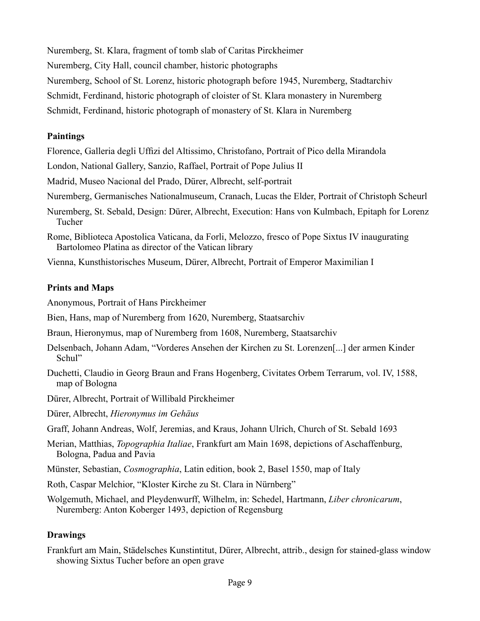Nuremberg, St. Klara, fragment of tomb slab of Caritas Pirckheimer

Nuremberg, City Hall, council chamber, historic photographs

Nuremberg, School of St. Lorenz, historic photograph before 1945, Nuremberg, Stadtarchiv

Schmidt, Ferdinand, historic photograph of cloister of St. Klara monastery in Nuremberg

Schmidt, Ferdinand, historic photograph of monastery of St. Klara in Nuremberg

## **Paintings**

Florence, Galleria degli Uffizi del Altissimo, Christofano, Portrait of Pico della Mirandola

London, National Gallery, Sanzio, Raffael, Portrait of Pope Julius II

Madrid, Museo Nacional del Prado, Dürer, Albrecht, self-portrait

- Nuremberg, Germanisches Nationalmuseum, Cranach, Lucas the Elder, Portrait of Christoph Scheurl
- Nuremberg, St. Sebald, Design: Dürer, Albrecht, Execution: Hans von Kulmbach, Epitaph for Lorenz Tucher

Rome, Biblioteca Apostolica Vaticana, da Forli, Melozzo, fresco of Pope Sixtus IV inaugurating Bartolomeo Platina as director of the Vatican library

Vienna, Kunsthistorisches Museum, Dürer, Albrecht, Portrait of Emperor Maximilian I

## **Prints and Maps**

Anonymous, Portrait of Hans Pirckheimer

Bien, Hans, map of Nuremberg from 1620, Nuremberg, Staatsarchiv

Braun, Hieronymus, map of Nuremberg from 1608, Nuremberg, Staatsarchiv

- Delsenbach, Johann Adam, "Vorderes Ansehen der Kirchen zu St. Lorenzen[...] der armen Kinder Schul"
- Duchetti, Claudio in Georg Braun and Frans Hogenberg, Civitates Orbem Terrarum, vol. IV, 1588, map of Bologna

Dürer, Albrecht, Portrait of Willibald Pirckheimer

Dürer, Albrecht, *Hieronymus im Gehäus*

Graff, Johann Andreas, Wolf, Jeremias, and Kraus, Johann Ulrich, Church of St. Sebald 1693

Merian, Matthias, *Topographia Italiae*, Frankfurt am Main 1698, depictions of Aschaffenburg, Bologna, Padua and Pavia

Münster, Sebastian, *Cosmographia*, Latin edition, book 2, Basel 1550, map of Italy

Roth, Caspar Melchior, "Kloster Kirche zu St. Clara in Nürnberg"

Wolgemuth, Michael, and Pleydenwurff, Wilhelm, in: Schedel, Hartmann, *Liber chronicarum*, Nuremberg: Anton Koberger 1493, depiction of Regensburg

## **Drawings**

Frankfurt am Main, Städelsches Kunstintitut, Dürer, Albrecht, attrib., design for stained-glass window showing Sixtus Tucher before an open grave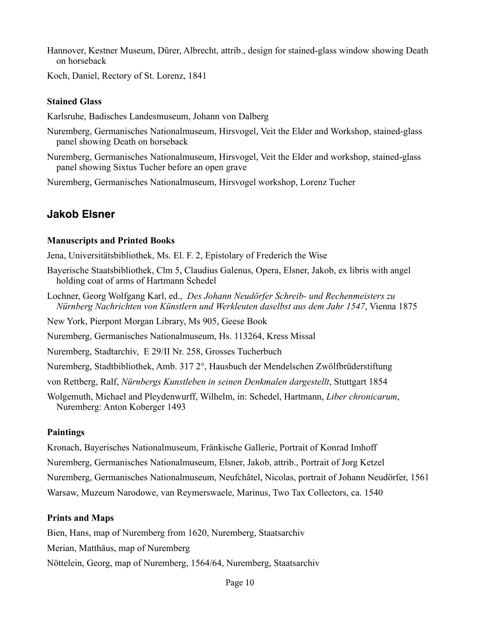Hannover, Kestner Museum, Dürer, Albrecht, attrib., design for stained-glass window showing Death on horseback

Koch, Daniel, Rectory of St. Lorenz, 1841

#### **Stained Glass**

Karlsruhe, Badisches Landesmuseum, Johann von Dalberg

- Nuremberg, Germanisches Nationalmuseum, Hirsvogel, Veit the Elder and Workshop, stained-glass panel showing Death on horseback
- Nuremberg, Germanisches Nationalmuseum, Hirsvogel, Veit the Elder and workshop, stained-glass panel showing Sixtus Tucher before an open grave

Nuremberg, Germanisches Nationalmuseum, Hirsvogel workshop, Lorenz Tucher

## **Jakob Elsner**

#### **Manuscripts and Printed Books**

Jena, Universitätsbibliothek, Ms. El. F. 2, Epistolary of Frederich the Wise

- Bayerische Staatsbibliothek, Clm 5, Claudius Galenus, Opera, Elsner, Jakob, ex libris with angel holding coat of arms of Hartmann Schedel
- Lochner, Georg Wolfgang Karl, ed., *Des Johann Neudörfer Schreib- und Rechenmeisters zu Nürnberg Nachrichten von Künstlern und Werkleuten daselbst aus dem Jahr 1547*, Vienna 1875
- New York, Pierpont Morgan Library, Ms 905, Geese Book

Nuremberg, Germanisches Nationalmuseum, Hs. 113264, Kress Missal

Nuremberg, Stadtarchiv, E 29/II Nr. 258, Grosses Tucherbuch

Nuremberg, Stadtbibliothek, Amb. 317 2°, Hausbuch der Mendelschen Zwölfbrüderstiftung

- von Rettberg, Ralf, *Nürnbergs Kunstleben in seinen Denkmalen dargestellt*, Stuttgart 1854
- Wolgemuth, Michael and Pleydenwurff, Wilhelm, in: Schedel, Hartmann, *Liber chronicarum*, Nuremberg: Anton Koberger 1493

#### **Paintings**

Kronach, Bayerisches Nationalmuseum, Fränkische Gallerie, Portrait of Konrad Imhoff Nuremberg, Germanisches Nationalmuseum, Elsner, Jakob, attrib., Portrait of Jorg Ketzel Nuremberg, Germanisches Nationalmuseum, Neufchâtel, Nicolas, portrait of Johann Neudörfer, 1561 Warsaw, Muzeum Narodowe, van Reymerswaele, Marinus, Two Tax Collectors, ca. 1540

#### **Prints and Maps**

Bien, Hans, map of Nuremberg from 1620, Nuremberg, Staatsarchiv

Merian, Matthäus, map of Nuremberg

Nöttelein, Georg, map of Nuremberg, 1564/64, Nuremberg, Staatsarchiv